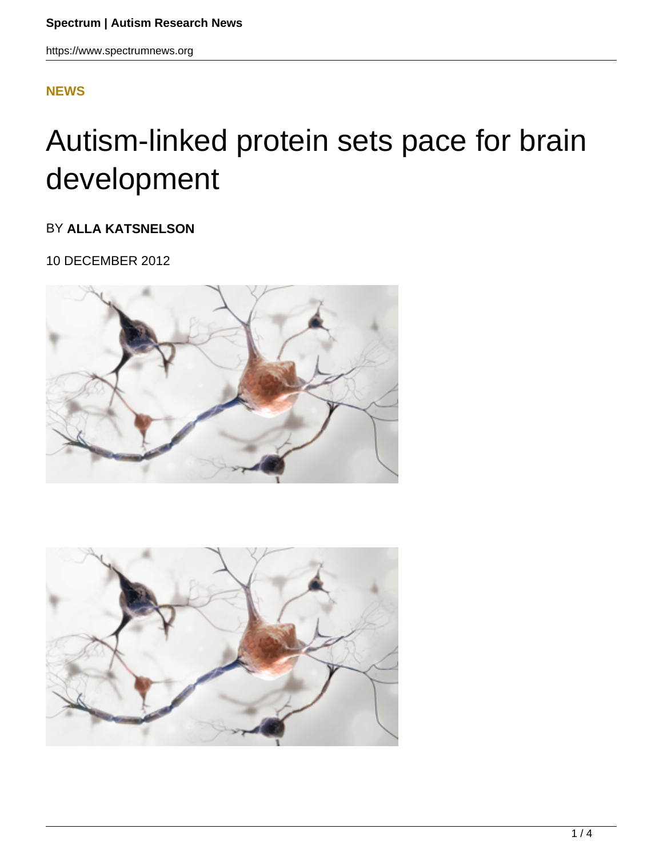#### **[NEWS](HTTPS://WWW.SPECTRUMNEWS.ORG/NEWS/)**

# Autism-linked protein sets pace for brain development

#### BY **ALLA KATSNELSON**

#### 10 DECEMBER 2012



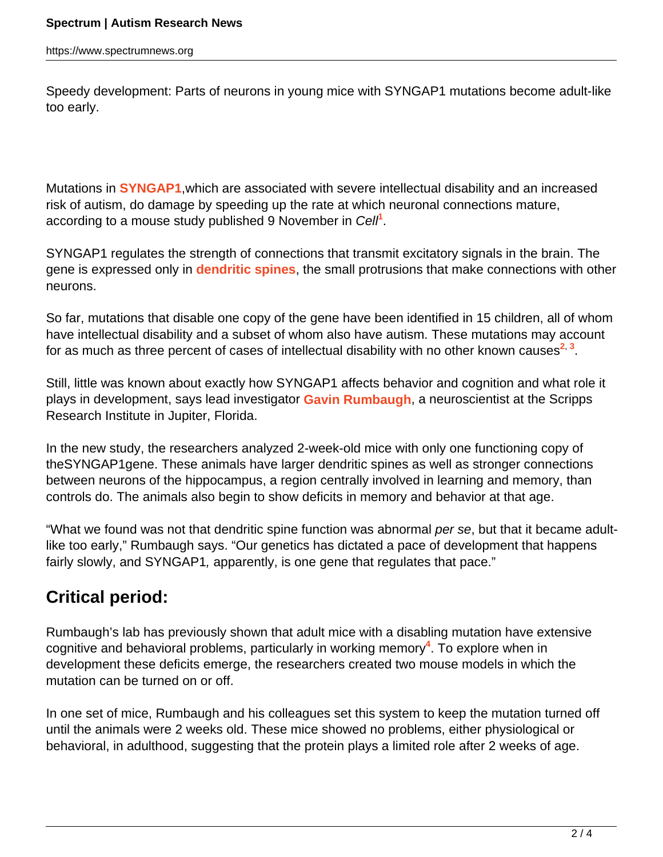https://www.spectrumnews.org

Speedy development: Parts of neurons in young mice with SYNGAP1 mutations become adult-like too early.

Mutations in **SYNGAP1**,which are associated with severe intellectual disability and an increased risk of autism, do damage by speeding up the rate at which neuronal connections mature, according to a mouse study published 9 November in Cell<sup>1</sup>.

SYNGAP1 regulates the strength of connections that transmit excitatory signals in the brain. The gene is expressed only in **dendritic spines**, the small protrusions that make connections with other neurons.

So far, mutations that disable one copy of the gene have been identified in 15 children, all of whom have intellectual disability and a subset of whom also have autism. These mutations may account for as much as three percent of cases of intellectual disability with no other known causes<sup>2, 3</sup>.

Still, little was known about exactly how SYNGAP1 affects behavior and cognition and what role it plays in development, says lead investigator **Gavin Rumbaugh**, a neuroscientist at the Scripps Research Institute in Jupiter, Florida.

In the new study, the researchers analyzed 2-week-old mice with only one functioning copy of theSYNGAP1gene. These animals have larger dendritic spines as well as stronger connections between neurons of the hippocampus, a region centrally involved in learning and memory, than controls do. The animals also begin to show deficits in memory and behavior at that age.

"What we found was not that dendritic spine function was abnormal per se, but that it became adultlike too early," Rumbaugh says. "Our genetics has dictated a pace of development that happens fairly slowly, and SYNGAP1, apparently, is one gene that regulates that pace."

## **Critical period:**

Rumbaugh's lab has previously shown that adult mice with a disabling mutation have extensive cognitive and behavioral problems, particularly in working memory**<sup>4</sup>** . To explore when in development these deficits emerge, the researchers created two mouse models in which the mutation can be turned on or off.

In one set of mice, Rumbaugh and his colleagues set this system to keep the mutation turned off until the animals were 2 weeks old. These mice showed no problems, either physiological or behavioral, in adulthood, suggesting that the protein plays a limited role after 2 weeks of age.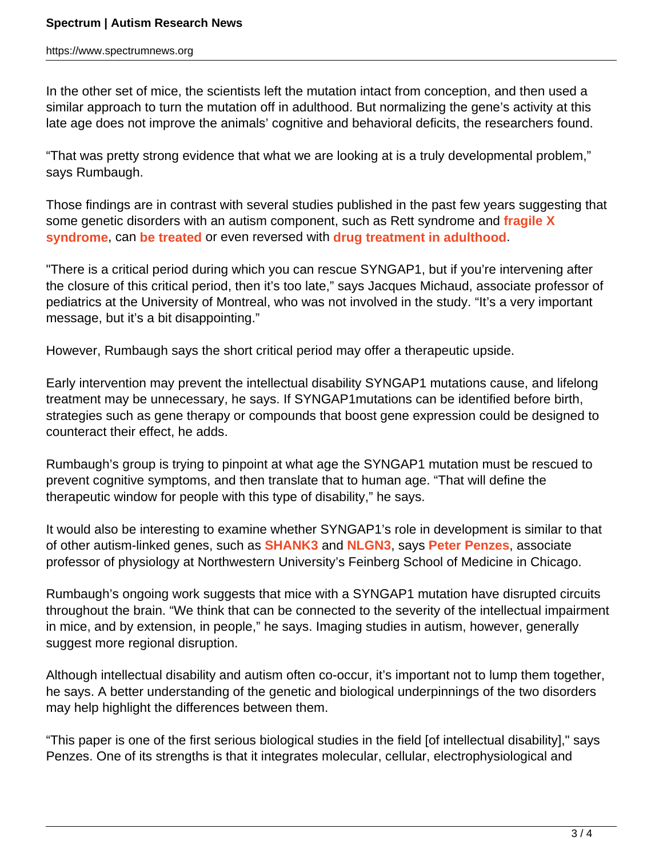In the other set of mice, the scientists left the mutation intact from conception, and then used a similar approach to turn the mutation off in adulthood. But normalizing the gene's activity at this late age does not improve the animals' cognitive and behavioral deficits, the researchers found.

"That was pretty strong evidence that what we are looking at is a truly developmental problem," says Rumbaugh.

Those findings are in contrast with several studies published in the past few years suggesting that some genetic disorders with an autism component, such as Rett syndrome and **fragile X syndrome**, can **be treated** or even reversed with **drug treatment in adulthood**.

"There is a critical period during which you can rescue SYNGAP1, but if you're intervening after the closure of this critical period, then it's too late," says Jacques Michaud, associate professor of pediatrics at the University of Montreal, who was not involved in the study. "It's a very important message, but it's a bit disappointing."

However, Rumbaugh says the short critical period may offer a therapeutic upside.

Early intervention may prevent the intellectual disability SYNGAP1 mutations cause, and lifelong treatment may be unnecessary, he says. If SYNGAP1mutations can be identified before birth, strategies such as gene therapy or compounds that boost gene expression could be designed to counteract their effect, he adds.

Rumbaugh's group is trying to pinpoint at what age the SYNGAP1 mutation must be rescued to prevent cognitive symptoms, and then translate that to human age. "That will define the therapeutic window for people with this type of disability," he says.

It would also be interesting to examine whether SYNGAP1's role in development is similar to that of other autism-linked genes, such as **SHANK3** and **NLGN3**, says **Peter Penzes**, associate professor of physiology at Northwestern University's Feinberg School of Medicine in Chicago.

Rumbaugh's ongoing work suggests that mice with a SYNGAP1 mutation have disrupted circuits throughout the brain. "We think that can be connected to the severity of the intellectual impairment in mice, and by extension, in people," he says. Imaging studies in autism, however, generally suggest more regional disruption.

Although intellectual disability and autism often co-occur, it's important not to lump them together, he says. A better understanding of the genetic and biological underpinnings of the two disorders may help highlight the differences between them.

"This paper is one of the first serious biological studies in the field [of intellectual disability]," says Penzes. One of its strengths is that it integrates molecular, cellular, electrophysiological and